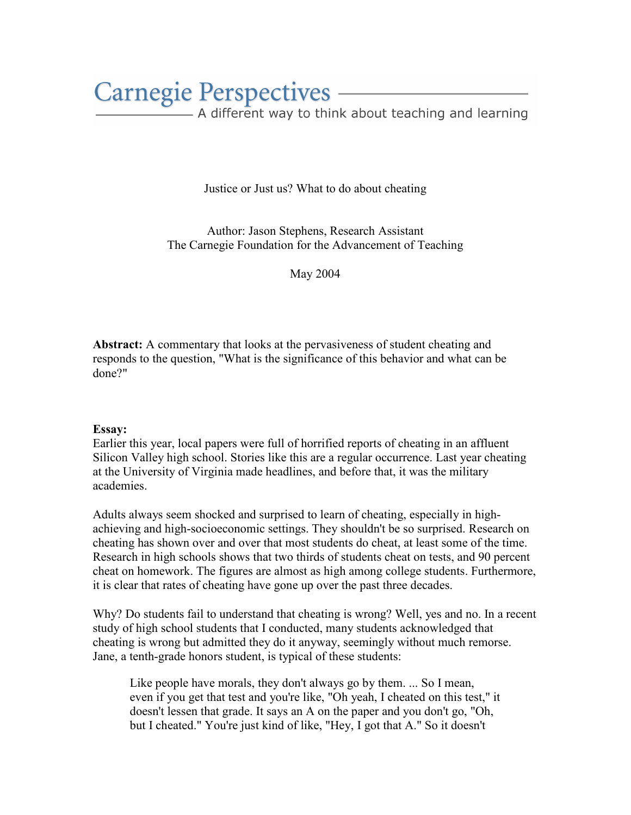## **Carnegie Perspectives -**

- A different way to think about teaching and learning

Justice or Just us? What to do about cheating

Author: Jason Stephens, Research Assistant The Carnegie Foundation for the Advancement of Teaching

May 2004

Abstract: A commentary that looks at the pervasiveness of student cheating and responds to the question, "What is the significance of this behavior and what can be done?"

## Essay:

Earlier this year, local papers were full of horrified reports of cheating in an affluent Silicon Valley high school. Stories like this are a regular occurrence. Last year cheating at the University of Virginia made headlines, and before that, it was the military academies.

Adults always seem shocked and surprised to learn of cheating, especially in highachieving and high-socioeconomic settings. They shouldn't be so surprised. Research on cheating has shown over and over that most students do cheat, at least some of the time. Research in high schools shows that two thirds of students cheat on tests, and 90 percent cheat on homework. The figures are almost as high among college students. Furthermore, it is clear that rates of cheating have gone up over the past three decades.

Why? Do students fail to understand that cheating is wrong? Well, yes and no. In a recent study of high school students that I conducted, many students acknowledged that cheating is wrong but admitted they do it anyway, seemingly without much remorse. Jane, a tenth-grade honors student, is typical of these students:

Like people have morals, they don't always go by them. ... So I mean, even if you get that test and you're like, "Oh yeah, I cheated on this test," it doesn't lessen that grade. It says an A on the paper and you don't go, "Oh, but I cheated." You're just kind of like, "Hey, I got that A." So it doesn't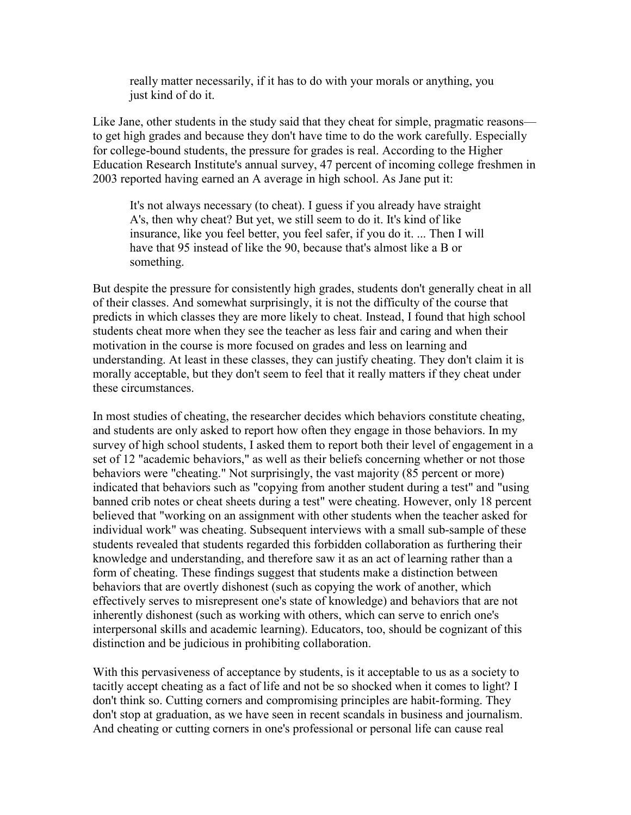really matter necessarily, if it has to do with your morals or anything, you just kind of do it.

Like Jane, other students in the study said that they cheat for simple, pragmatic reasons to get high grades and because they don't have time to do the work carefully. Especially for college-bound students, the pressure for grades is real. According to the Higher Education Research Institute's annual survey, 47 percent of incoming college freshmen in 2003 reported having earned an A average in high school. As Jane put it:

It's not always necessary (to cheat). I guess if you already have straight A's, then why cheat? But yet, we still seem to do it. It's kind of like insurance, like you feel better, you feel safer, if you do it. ... Then I will have that 95 instead of like the 90, because that's almost like a B or something.

But despite the pressure for consistently high grades, students don't generally cheat in all of their classes. And somewhat surprisingly, it is not the difficulty of the course that predicts in which classes they are more likely to cheat. Instead, I found that high school students cheat more when they see the teacher as less fair and caring and when their motivation in the course is more focused on grades and less on learning and understanding. At least in these classes, they can justify cheating. They don't claim it is morally acceptable, but they don't seem to feel that it really matters if they cheat under these circumstances.

In most studies of cheating, the researcher decides which behaviors constitute cheating, and students are only asked to report how often they engage in those behaviors. In my survey of high school students, I asked them to report both their level of engagement in a set of 12 "academic behaviors," as well as their beliefs concerning whether or not those behaviors were "cheating." Not surprisingly, the vast majority (85 percent or more) indicated that behaviors such as "copying from another student during a test" and "using banned crib notes or cheat sheets during a test" were cheating. However, only 18 percent believed that "working on an assignment with other students when the teacher asked for individual work" was cheating. Subsequent interviews with a small sub-sample of these students revealed that students regarded this forbidden collaboration as furthering their knowledge and understanding, and therefore saw it as an act of learning rather than a form of cheating. These findings suggest that students make a distinction between behaviors that are overtly dishonest (such as copying the work of another, which effectively serves to misrepresent one's state of knowledge) and behaviors that are not inherently dishonest (such as working with others, which can serve to enrich one's interpersonal skills and academic learning). Educators, too, should be cognizant of this distinction and be judicious in prohibiting collaboration.

With this pervasiveness of acceptance by students, is it acceptable to us as a society to tacitly accept cheating as a fact of life and not be so shocked when it comes to light? I don't think so. Cutting corners and compromising principles are habit-forming. They don't stop at graduation, as we have seen in recent scandals in business and journalism. And cheating or cutting corners in one's professional or personal life can cause real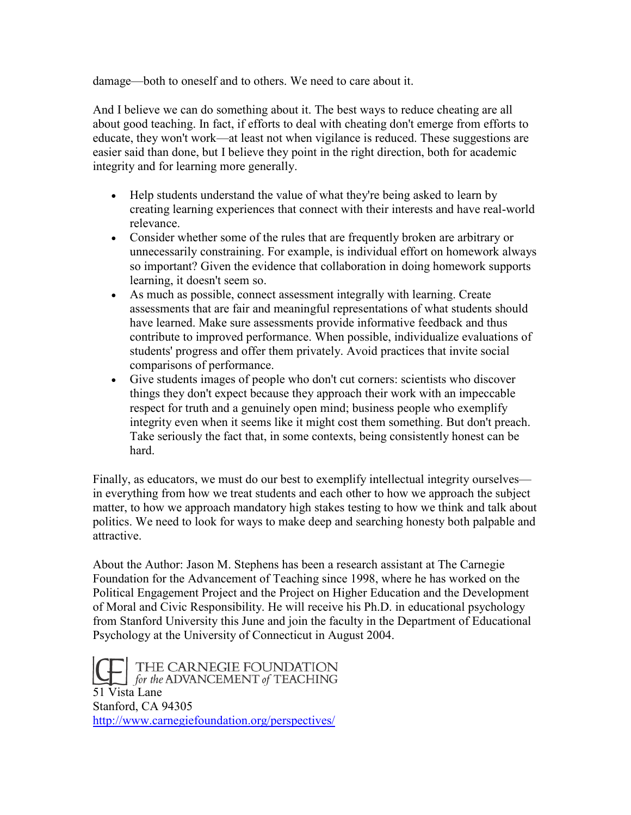damage—both to oneself and to others. We need to care about it.

And I believe we can do something about it. The best ways to reduce cheating are all about good teaching. In fact, if efforts to deal with cheating don't emerge from efforts to educate, they won't work—at least not when vigilance is reduced. These suggestions are easier said than done, but I believe they point in the right direction, both for academic integrity and for learning more generally.

- Help students understand the value of what they're being asked to learn by creating learning experiences that connect with their interests and have real-world relevance.
- Consider whether some of the rules that are frequently broken are arbitrary or unnecessarily constraining. For example, is individual effort on homework always so important? Given the evidence that collaboration in doing homework supports learning, it doesn't seem so.
- As much as possible, connect assessment integrally with learning. Create assessments that are fair and meaningful representations of what students should have learned. Make sure assessments provide informative feedback and thus contribute to improved performance. When possible, individualize evaluations of students' progress and offer them privately. Avoid practices that invite social comparisons of performance.
- Give students images of people who don't cut corners: scientists who discover things they don't expect because they approach their work with an impeccable respect for truth and a genuinely open mind; business people who exemplify integrity even when it seems like it might cost them something. But don't preach. Take seriously the fact that, in some contexts, being consistently honest can be hard.

Finally, as educators, we must do our best to exemplify intellectual integrity ourselves in everything from how we treat students and each other to how we approach the subject matter, to how we approach mandatory high stakes testing to how we think and talk about politics. We need to look for ways to make deep and searching honesty both palpable and attractive.

About the Author: Jason M. Stephens has been a research assistant at The Carnegie Foundation for the Advancement of Teaching since 1998, where he has worked on the Political Engagement Project and the Project on Higher Education and the Development of Moral and Civic Responsibility. He will receive his Ph.D. in educational psychology from Stanford University this June and join the faculty in the Department of Educational Psychology at the University of Connecticut in August 2004.

THE CARNEGIE FOUNDATION<br>for the ADVANCEMENT of TEACHING 51 Vista Lane Stanford, CA 94305 http://www.carnegiefoundation.org/perspectives/